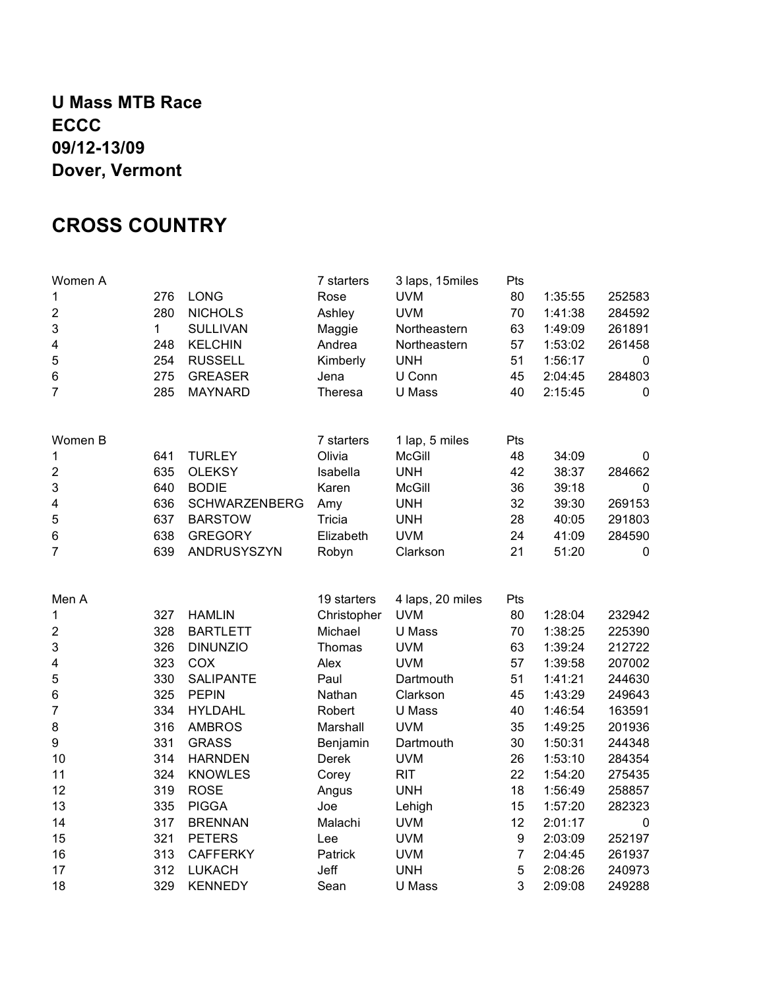#### **U Mass MTB Race ECCC 09/12-13/09 Dover, Vermont**

#### **CROSS COUNTRY**

| Women A                 |     |                      | 7 starters     | 3 laps, 15miles  | Pts            |         |             |
|-------------------------|-----|----------------------|----------------|------------------|----------------|---------|-------------|
| 1                       | 276 | LONG                 | Rose           | <b>UVM</b>       | 80             | 1:35:55 | 252583      |
| $\mathbf 2$             | 280 | <b>NICHOLS</b>       | Ashley         | <b>UVM</b>       | 70             | 1:41:38 | 284592      |
| 3                       | 1   | <b>SULLIVAN</b>      | Maggie         | Northeastern     | 63             | 1:49:09 | 261891      |
| 4                       | 248 | <b>KELCHIN</b>       | Andrea         | Northeastern     | 57             | 1:53:02 | 261458      |
| 5                       | 254 | <b>RUSSELL</b>       | Kimberly       | <b>UNH</b>       | 51             | 1:56:17 | 0           |
| $\,6$                   | 275 | <b>GREASER</b>       | Jena           | U Conn           | 45             | 2:04:45 | 284803      |
| $\overline{7}$          | 285 | <b>MAYNARD</b>       | <b>Theresa</b> | U Mass           | 40             | 2:15:45 | 0           |
| Women B                 |     |                      | 7 starters     | 1 lap, 5 miles   | Pts            |         |             |
| 1                       | 641 | <b>TURLEY</b>        | Olivia         | <b>McGill</b>    | 48             | 34:09   | 0           |
| $\mathbf 2$             | 635 | <b>OLEKSY</b>        | Isabella       | <b>UNH</b>       | 42             | 38:37   | 284662      |
| $\mathsf 3$             | 640 | <b>BODIE</b>         | Karen          | <b>McGill</b>    | 36             | 39:18   | $\mathbf 0$ |
| 4                       | 636 | <b>SCHWARZENBERG</b> | Amy            | <b>UNH</b>       | 32             | 39:30   | 269153      |
| $\mathbf 5$             | 637 | <b>BARSTOW</b>       | Tricia         | <b>UNH</b>       | 28             | 40:05   | 291803      |
| 6                       | 638 | <b>GREGORY</b>       | Elizabeth      | <b>UVM</b>       | 24             | 41:09   | 284590      |
| $\overline{7}$          | 639 | ANDRUSYSZYN          | Robyn          | Clarkson         | 21             | 51:20   | $\pmb{0}$   |
|                         |     |                      |                |                  |                |         |             |
| Men A                   |     |                      | 19 starters    | 4 laps, 20 miles | Pts            |         |             |
| 1                       | 327 | <b>HAMLIN</b>        | Christopher    | <b>UVM</b>       | 80             | 1:28:04 | 232942      |
| $\mathbf 2$             | 328 | <b>BARTLETT</b>      | Michael        | U Mass           | 70             | 1:38:25 | 225390      |
| $\mathsf 3$             | 326 | <b>DINUNZIO</b>      | Thomas         | <b>UVM</b>       | 63             | 1:39:24 | 212722      |
| $\overline{\mathbf{4}}$ | 323 | COX                  | Alex           | <b>UVM</b>       | 57             | 1:39:58 | 207002      |
| $\sqrt{5}$              | 330 | <b>SALIPANTE</b>     | Paul           | Dartmouth        | 51             | 1:41:21 | 244630      |
| 6                       | 325 | <b>PEPIN</b>         | Nathan         | Clarkson         | 45             | 1:43:29 | 249643      |
| $\overline{7}$          | 334 | <b>HYLDAHL</b>       | Robert         | U Mass           | 40             | 1:46:54 | 163591      |
| 8                       | 316 | <b>AMBROS</b>        | Marshall       | <b>UVM</b>       | 35             | 1:49:25 | 201936      |
| 9                       | 331 | <b>GRASS</b>         | Benjamin       | Dartmouth        | 30             | 1:50:31 | 244348      |
| 10                      | 314 | <b>HARNDEN</b>       | Derek          | <b>UVM</b>       | 26             | 1:53:10 | 284354      |
| 11                      | 324 | <b>KNOWLES</b>       | Corey          | <b>RIT</b>       | 22             | 1:54:20 | 275435      |
| 12                      | 319 | <b>ROSE</b>          | Angus          | <b>UNH</b>       | 18             | 1:56:49 | 258857      |
| 13                      | 335 | <b>PIGGA</b>         | Joe            | Lehigh           | 15             | 1:57:20 | 282323      |
| 14                      | 317 | <b>BRENNAN</b>       | Malachi        | <b>UVM</b>       | 12             | 2:01:17 | 0           |
| 15                      | 321 | <b>PETERS</b>        | Lee            | <b>UVM</b>       | 9              | 2:03:09 | 252197      |
| 16                      | 313 | <b>CAFFERKY</b>      | Patrick        | <b>UVM</b>       | $\overline{7}$ | 2:04:45 | 261937      |
| 17                      | 312 | <b>LUKACH</b>        | Jeff           | <b>UNH</b>       | 5              | 2:08:26 | 240973      |
| 18                      | 329 | <b>KENNEDY</b>       | Sean           | U Mass           | 3              | 2:09:08 | 249288      |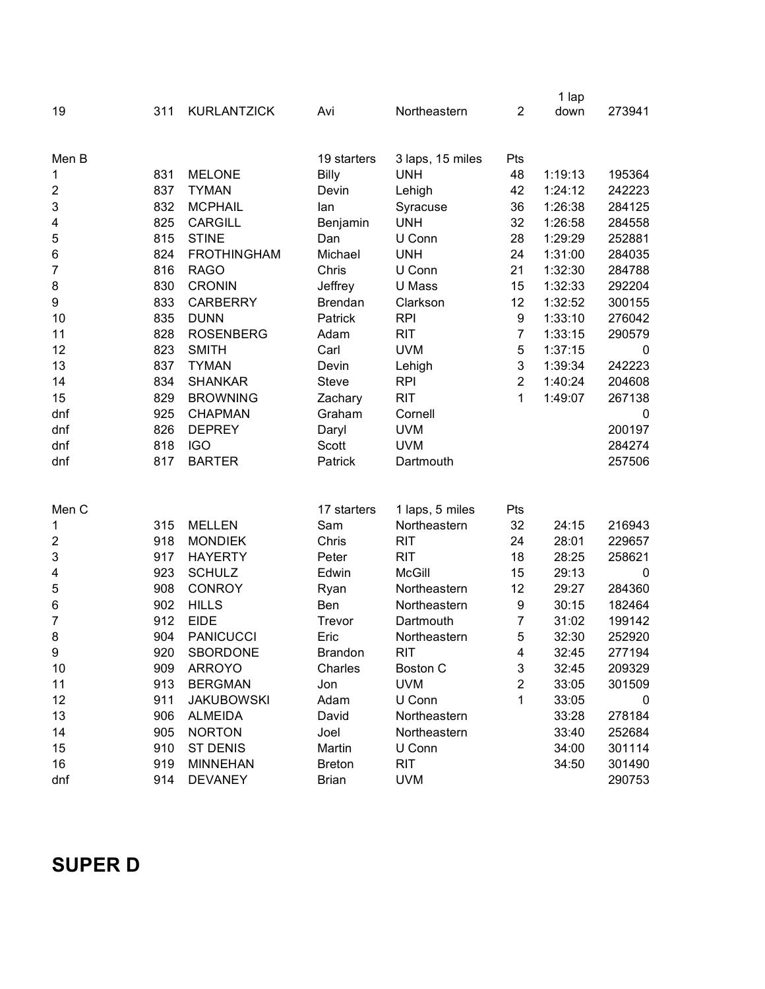|                         |     |                    |                |                  |                | 1 lap   |             |
|-------------------------|-----|--------------------|----------------|------------------|----------------|---------|-------------|
| 19                      | 311 | <b>KURLANTZICK</b> | Avi            | Northeastern     | $\overline{2}$ | down    | 273941      |
|                         |     |                    |                |                  |                |         |             |
| Men B                   |     |                    | 19 starters    | 3 laps, 15 miles | Pts            |         |             |
| 1                       | 831 | <b>MELONE</b>      | <b>Billy</b>   | <b>UNH</b>       | 48             | 1:19:13 | 195364      |
| $\overline{\mathbf{c}}$ | 837 | <b>TYMAN</b>       | Devin          | Lehigh           | 42             | 1:24:12 | 242223      |
| 3                       | 832 | <b>MCPHAIL</b>     | lan            | Syracuse         | 36             | 1:26:38 | 284125      |
| 4                       | 825 | <b>CARGILL</b>     | Benjamin       | <b>UNH</b>       | 32             | 1:26:58 | 284558      |
| 5                       | 815 | <b>STINE</b>       | Dan            | U Conn           | 28             | 1:29:29 | 252881      |
| 6                       | 824 | <b>FROTHINGHAM</b> | Michael        | <b>UNH</b>       | 24             | 1:31:00 | 284035      |
| $\overline{7}$          | 816 | <b>RAGO</b>        | Chris          | U Conn           | 21             | 1:32:30 | 284788      |
| 8                       | 830 | <b>CRONIN</b>      | Jeffrey        | U Mass           | 15             | 1:32:33 | 292204      |
| 9                       | 833 | <b>CARBERRY</b>    | <b>Brendan</b> | Clarkson         | 12             | 1:32:52 | 300155      |
| 10                      | 835 | <b>DUNN</b>        | Patrick        | <b>RPI</b>       | 9              | 1:33:10 | 276042      |
| 11                      | 828 | <b>ROSENBERG</b>   | Adam           | <b>RIT</b>       | $\overline{7}$ | 1:33:15 | 290579      |
| 12                      | 823 | <b>SMITH</b>       | Carl           | <b>UVM</b>       | 5              | 1:37:15 | 0           |
| 13                      | 837 | <b>TYMAN</b>       | Devin          | Lehigh           | 3              | 1:39:34 | 242223      |
| 14                      | 834 | <b>SHANKAR</b>     | <b>Steve</b>   | <b>RPI</b>       | $\overline{2}$ | 1:40:24 | 204608      |
| 15                      | 829 | <b>BROWNING</b>    | Zachary        | <b>RIT</b>       | 1              | 1:49:07 | 267138      |
| dnf                     | 925 | <b>CHAPMAN</b>     | Graham         | Cornell          |                |         | 0           |
| dnf                     | 826 | <b>DEPREY</b>      | Daryl          | <b>UVM</b>       |                |         | 200197      |
| dnf                     | 818 | <b>IGO</b>         | Scott          | <b>UVM</b>       |                |         | 284274      |
| dnf                     | 817 | <b>BARTER</b>      | Patrick        | Dartmouth        |                |         | 257506      |
|                         |     |                    |                |                  |                |         |             |
| Men C                   |     |                    | 17 starters    | 1 laps, 5 miles  | Pts            |         |             |
| 1                       | 315 | <b>MELLEN</b>      | Sam            | Northeastern     | 32             | 24:15   | 216943      |
| $\overline{\mathbf{c}}$ | 918 | <b>MONDIEK</b>     | Chris          | <b>RIT</b>       | 24             | 28:01   | 229657      |
| 3                       | 917 | <b>HAYERTY</b>     | Peter          | <b>RIT</b>       | 18             | 28:25   | 258621      |
| 4                       | 923 | <b>SCHULZ</b>      | Edwin          | <b>McGill</b>    | 15             | 29:13   | $\mathbf 0$ |
| 5                       | 908 | <b>CONROY</b>      | Ryan           | Northeastern     | 12             | 29:27   | 284360      |
| 6                       | 902 | <b>HILLS</b>       | Ben            | Northeastern     | 9              | 30:15   | 182464      |
| 7                       | 912 | <b>EIDE</b>        | Trevor         | Dartmouth        | $\overline{7}$ | 31:02   | 199142      |
| 8                       | 904 | <b>PANICUCCI</b>   | Eric           | Northeastern     | 5              | 32:30   | 252920      |
| 9                       | 920 | SBORDONE           | <b>Brandon</b> | <b>RIT</b>       | 4              | 32:45   | 277194      |
| 10                      | 909 | <b>ARROYO</b>      | Charles        | Boston C         | 3              | 32:45   | 209329      |
| 11                      | 913 | <b>BERGMAN</b>     | Jon            | <b>UVM</b>       | $\overline{c}$ | 33:05   | 301509      |
| 12                      | 911 | <b>JAKUBOWSKI</b>  | Adam           | U Conn           | 1              | 33:05   | 0           |
| 13                      | 906 | <b>ALMEIDA</b>     | David          | Northeastern     |                | 33:28   | 278184      |
| 14                      | 905 | <b>NORTON</b>      | Joel           | Northeastern     |                | 33:40   | 252684      |
| 15                      | 910 | ST DENIS           | Martin         | U Conn           |                | 34:00   | 301114      |
| 16                      | 919 | <b>MINNEHAN</b>    | <b>Breton</b>  | <b>RIT</b>       |                | 34:50   | 301490      |
| dnf                     | 914 | <b>DEVANEY</b>     | <b>Brian</b>   | <b>UVM</b>       |                |         | 290753      |

# **SUPER D**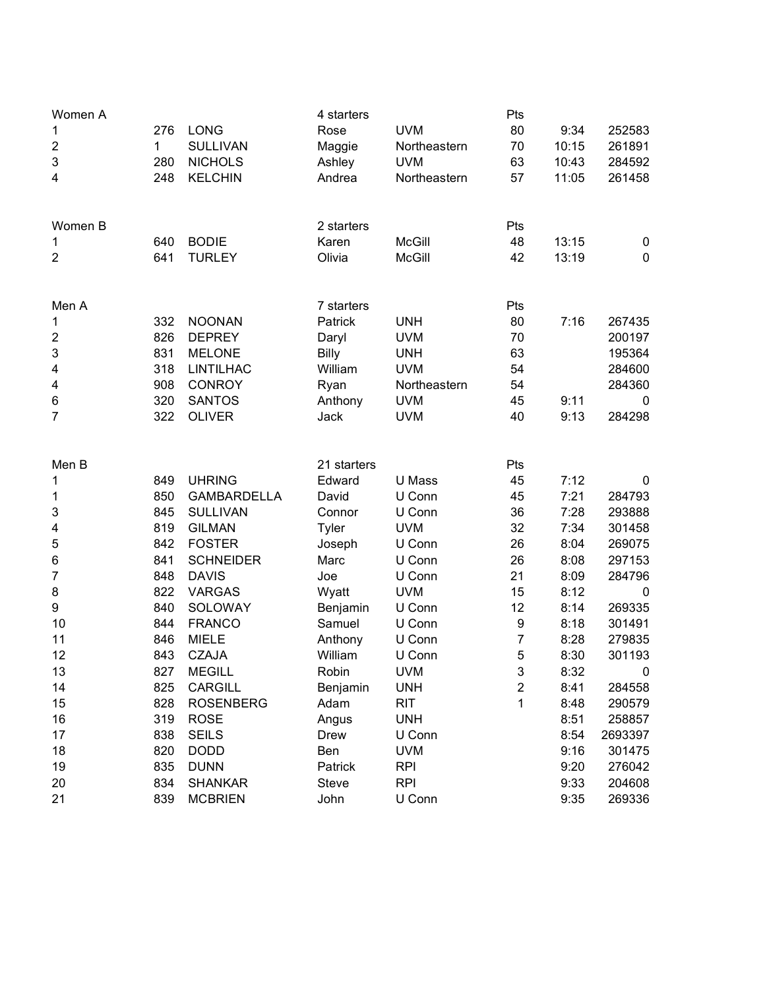| Women A                 |     |                    | 4 starters   |               | Pts            |       |             |
|-------------------------|-----|--------------------|--------------|---------------|----------------|-------|-------------|
| 1                       | 276 | <b>LONG</b>        | Rose         | <b>UVM</b>    | 80             | 9:34  | 252583      |
| $\boldsymbol{2}$        | 1   | <b>SULLIVAN</b>    | Maggie       | Northeastern  | 70             | 10:15 | 261891      |
| 3                       | 280 | <b>NICHOLS</b>     | Ashley       | <b>UVM</b>    | 63             | 10:43 | 284592      |
| 4                       | 248 | <b>KELCHIN</b>     | Andrea       | Northeastern  | 57             | 11:05 | 261458      |
| Women B                 |     |                    | 2 starters   |               | Pts            |       |             |
| 1                       | 640 | <b>BODIE</b>       | Karen        | <b>McGill</b> | 48             | 13:15 | 0           |
| $\overline{2}$          | 641 | <b>TURLEY</b>      | Olivia       | <b>McGill</b> | 42             | 13:19 | $\pmb{0}$   |
| Men A                   |     |                    | 7 starters   |               | Pts            |       |             |
| 1                       | 332 | <b>NOONAN</b>      | Patrick      | <b>UNH</b>    | 80             | 7:16  | 267435      |
| $\overline{\mathbf{c}}$ | 826 | <b>DEPREY</b>      | Daryl        | <b>UVM</b>    | 70             |       | 200197      |
| 3                       | 831 | <b>MELONE</b>      | <b>Billy</b> | <b>UNH</b>    | 63             |       | 195364      |
| $\overline{\mathbf{4}}$ | 318 | <b>LINTILHAC</b>   | William      | <b>UVM</b>    | 54             |       | 284600      |
| 4                       | 908 | <b>CONROY</b>      | Ryan         | Northeastern  | 54             |       | 284360      |
| 6                       | 320 | <b>SANTOS</b>      | Anthony      | <b>UVM</b>    | 45             | 9:11  | $\mathbf 0$ |
| 7                       | 322 | <b>OLIVER</b>      | Jack         | <b>UVM</b>    | 40             | 9:13  | 284298      |
| Men B                   |     |                    | 21 starters  |               | Pts            |       |             |
| 1                       | 849 | <b>UHRING</b>      | Edward       | U Mass        | 45             | 7:12  | 0           |
| 1                       | 850 | <b>GAMBARDELLA</b> | David        | U Conn        | 45             | 7:21  | 284793      |
| 3                       | 845 | <b>SULLIVAN</b>    | Connor       | U Conn        | 36             | 7:28  | 293888      |
| 4                       | 819 | <b>GILMAN</b>      | <b>Tyler</b> | <b>UVM</b>    | 32             | 7:34  | 301458      |
| 5                       | 842 | <b>FOSTER</b>      | Joseph       | U Conn        | 26             | 8:04  | 269075      |
| 6                       | 841 | <b>SCHNEIDER</b>   | Marc         | U Conn        | 26             | 8:08  | 297153      |
| 7                       | 848 | <b>DAVIS</b>       | Joe          | U Conn        | 21             | 8:09  | 284796      |
| 8                       | 822 | <b>VARGAS</b>      | Wyatt        | <b>UVM</b>    | 15             | 8:12  | $\mathbf 0$ |
| 9                       | 840 | SOLOWAY            | Benjamin     | U Conn        | 12             | 8:14  | 269335      |
| 10                      | 844 | <b>FRANCO</b>      | Samuel       | U Conn        | 9              | 8:18  | 301491      |
| 11                      | 846 | <b>MIELE</b>       | Anthony      | U Conn        | $\overline{7}$ | 8:28  | 279835      |
| 12                      | 843 | <b>CZAJA</b>       | William      | U Conn        | 5              | 8:30  | 301193      |
| 13                      | 827 | <b>MEGILL</b>      | Robin        | <b>UVM</b>    | 3              | 8:32  | 0           |
| 14                      | 825 | <b>CARGILL</b>     | Benjamin     | <b>UNH</b>    | $\overline{c}$ | 8:41  | 284558      |
| 15                      | 828 | <b>ROSENBERG</b>   | Adam         | <b>RIT</b>    | 1              | 8:48  | 290579      |
| 16                      | 319 | <b>ROSE</b>        | Angus        | <b>UNH</b>    |                | 8:51  | 258857      |
| 17                      | 838 | <b>SEILS</b>       | <b>Drew</b>  | U Conn        |                | 8:54  | 2693397     |
| 18                      | 820 | <b>DODD</b>        | Ben          | <b>UVM</b>    |                | 9:16  | 301475      |
| 19                      | 835 | <b>DUNN</b>        | Patrick      | <b>RPI</b>    |                | 9:20  | 276042      |
| 20                      | 834 | <b>SHANKAR</b>     | <b>Steve</b> | <b>RPI</b>    |                | 9:33  | 204608      |
| 21                      | 839 | <b>MCBRIEN</b>     | John         | U Conn        |                | 9:35  | 269336      |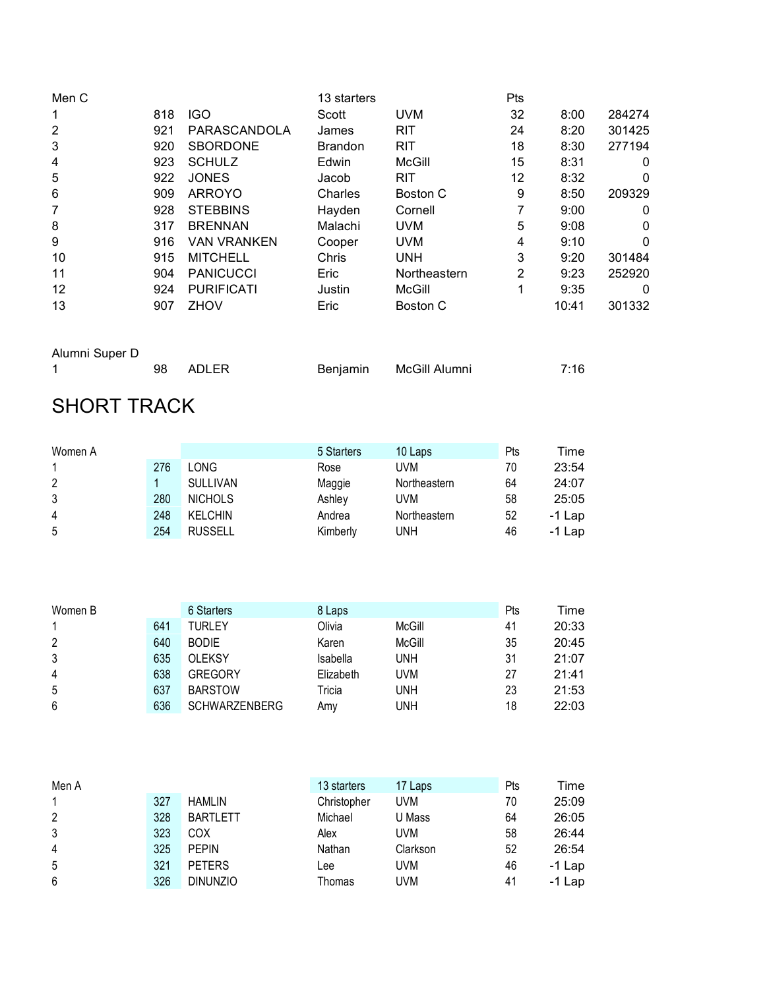| Men C |     |                    | 13 starters    |              | Pts |       |        |
|-------|-----|--------------------|----------------|--------------|-----|-------|--------|
| 1     | 818 | <b>IGO</b>         | Scott          | <b>UVM</b>   | 32  | 8:00  | 284274 |
| 2     | 921 | PARASCANDOLA       | James          | <b>RIT</b>   | 24  | 8:20  | 301425 |
| 3     | 920 | <b>SBORDONE</b>    | <b>Brandon</b> | <b>RIT</b>   | 18  | 8:30  | 277194 |
| 4     | 923 | <b>SCHULZ</b>      | Edwin          | McGill       | 15  | 8:31  | 0      |
| 5     | 922 | <b>JONES</b>       | Jacob          | <b>RIT</b>   | 12  | 8:32  | 0      |
| 6     | 909 | <b>ARROYO</b>      | Charles        | Boston C     | 9   | 8:50  | 209329 |
| 7     | 928 | <b>STEBBINS</b>    | Hayden         | Cornell      |     | 9:00  | 0      |
| 8     | 317 | <b>BRENNAN</b>     | Malachi        | <b>UVM</b>   | 5   | 9:08  | 0      |
| 9     | 916 | <b>VAN VRANKEN</b> | Cooper         | <b>UVM</b>   | 4   | 9:10  | 0      |
| 10    | 915 | <b>MITCHELL</b>    | Chris          | <b>UNH</b>   | 3   | 9:20  | 301484 |
| 11    | 904 | <b>PANICUCCI</b>   | Eric           | Northeastern | 2   | 9:23  | 252920 |
| 12    | 924 | <b>PURIFICATI</b>  | Justin         | McGill       | 1   | 9:35  | 0      |
| 13    | 907 | <b>ZHOV</b>        | Eric           | Boston C     |     | 10:41 | 301332 |

| Alumni Super D |     |       |                        |      |
|----------------|-----|-------|------------------------|------|
|                | 98. | ADLER | Benjamin McGill Alumni | 7:16 |

# SHORT TRACK

| Women A |     |                 | 5 Starters | 10 Laps      | Pts | Time     |
|---------|-----|-----------------|------------|--------------|-----|----------|
|         | 276 | LONG            | Rose       | UVM          | 70  | 23:54    |
| 2       |     | <b>SULLIVAN</b> | Maggie     | Northeastern | 64  | 24:07    |
| 3       | 280 | <b>NICHOLS</b>  | Ashley     | UVM          | 58  | 25:05    |
| 4       | 248 | <b>KELCHIN</b>  | Andrea     | Northeastern | 52  | $-1$ Lap |
| 5       | 254 | <b>RUSSELL</b>  | Kimberly   | UNH          | 46  | $-1$ Lap |

| Women B        |     | 6 Starters           | 8 Laps    |        | Pts | Time  |
|----------------|-----|----------------------|-----------|--------|-----|-------|
|                | 641 | TURLEY               | Olivia    | McGill | 41  | 20:33 |
| 2              | 640 | <b>BODIE</b>         | Karen     | McGill | 35  | 20:45 |
| 3              | 635 | <b>OLEKSY</b>        | Isabella  | UNH    | 31  | 21:07 |
| $\overline{4}$ | 638 | <b>GREGORY</b>       | Elizabeth | UVM    | 27  | 21:41 |
| 5              | 637 | <b>BARSTOW</b>       | Tricia    | UNH    | 23  | 21:53 |
| 6              | 636 | <b>SCHWARZENBERG</b> | Amv       | UNH    | 18  | 22:03 |

| Men A          |     |                 | 13 starters | 17 Laps  | Pts | Time     |
|----------------|-----|-----------------|-------------|----------|-----|----------|
|                | 327 | <b>HAMLIN</b>   | Christopher | UVM      | 70  | 25:09    |
| 2              | 328 | <b>BARTLETT</b> | Michael     | U Mass   | 64  | 26:05    |
| 3              | 323 | COX             | Alex        | UVM      | 58  | 26:44    |
| $\overline{4}$ | 325 | <b>PEPIN</b>    | Nathan      | Clarkson | 52  | 26:54    |
| 5              | 321 | <b>PETERS</b>   | Lee         | UVM      | 46  | $-1$ Lap |
| 6              | 326 | <b>DINUNZIO</b> | Thomas      | UVM      | 41  | $-1$ Lap |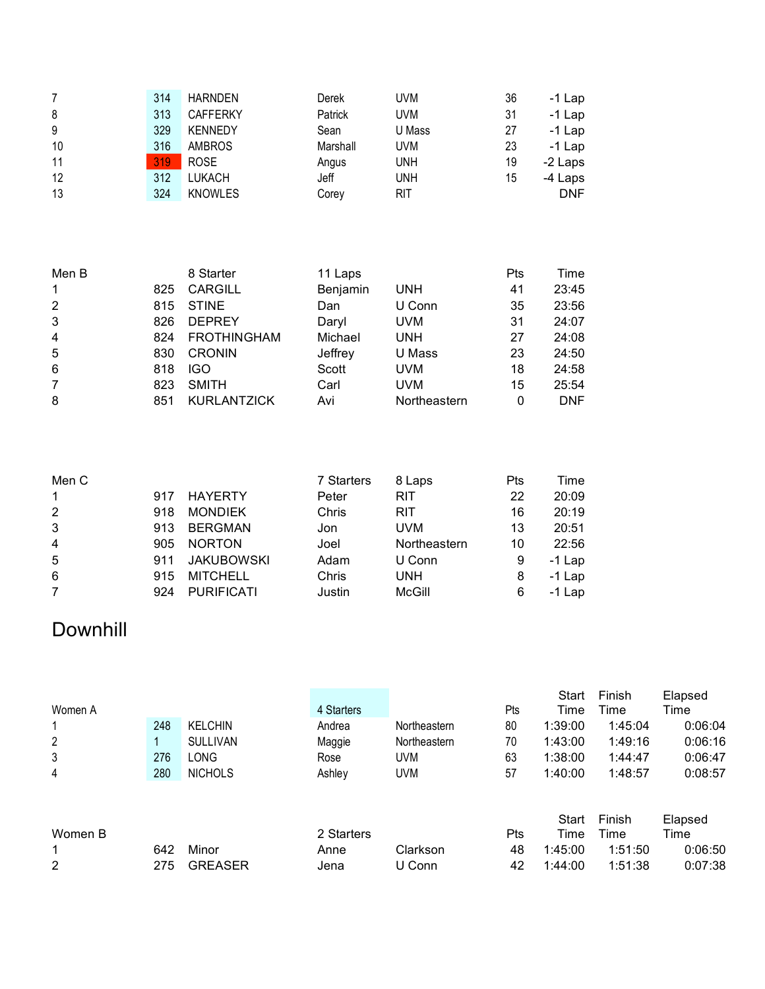| 7  | 314 | <b>HARNDEN</b>  | Derek    | UVM        | 36 | $-1$ Lap   |
|----|-----|-----------------|----------|------------|----|------------|
| 8  | 313 | <b>CAFFERKY</b> | Patrick  | <b>UVM</b> | 31 | $-1$ Lap   |
| 9  | 329 | <b>KENNEDY</b>  | Sean     | U Mass     | 27 | $-1$ Lap   |
| 10 | 316 | <b>AMBROS</b>   | Marshall | UVM        | 23 | $-1$ Lap   |
| 11 | 319 | <b>ROSE</b>     | Angus    | unh        | 19 | -2 Laps    |
| 12 | 312 | LUKACH          | Jeff     | UNH        | 15 | -4 Laps    |
| 13 | 324 | <b>KNOWLES</b>  | Corey    | RIT        |    | <b>DNF</b> |

| Men B          |     | 8 Starter          | 11 Laps  |              | Pts | Time       |
|----------------|-----|--------------------|----------|--------------|-----|------------|
| 1              | 825 | <b>CARGILL</b>     | Benjamin | UNH          | 41  | 23:45      |
| 2              | 815 | <b>STINE</b>       | Dan      | U Conn       | 35  | 23:56      |
| 3              | 826 | <b>DEPREY</b>      | Daryl    | <b>UVM</b>   | 31  | 24:07      |
| $\overline{4}$ | 824 | <b>FROTHINGHAM</b> | Michael  | UNH          | 27  | 24:08      |
| 5              | 830 | <b>CRONIN</b>      | Jeffrey  | U Mass       | 23  | 24:50      |
| 6              | 818 | <b>IGO</b>         | Scott    | UVM.         | 18  | 24:58      |
| $\overline{7}$ | 823 | <b>SMITH</b>       | Carl     | UVM          | 15  | 25:54      |
| 8              | 851 | <b>KURLANTZICK</b> | Avi      | Northeastern | 0   | <b>DNF</b> |

| Men C          |     |                   | 7 Starters | 8 Laps        | Pts | Time     |
|----------------|-----|-------------------|------------|---------------|-----|----------|
| $\mathbf{1}$   | 917 | HAYERTY           | Peter      | <b>RIT</b>    | 22  | 20:09    |
| 2              | 918 | <b>MONDIEK</b>    | Chris      | RIT           | 16  | 20:19    |
| 3              | 913 | <b>BERGMAN</b>    | Jon        | <b>UVM</b>    | 13  | 20:51    |
| $\overline{4}$ | 905 | <b>NORTON</b>     | Joel       | Northeastern  | 10  | 22:56    |
| 5              | 911 | <b>JAKUBOWSKI</b> | Adam       | U Conn        | 9   | $-1$ Lap |
| 6              | 915 | <b>MITCHELL</b>   | Chris      | <b>UNH</b>    | 8   | $-1$ Lap |
| $\overline{7}$ | 924 | <b>PURIFICATI</b> | Justin     | <b>McGill</b> | 6   | $-1$ Lap |

### Downhill

|         |     |                 |            |              |     | Start   | Finish  | Elapsed |
|---------|-----|-----------------|------------|--------------|-----|---------|---------|---------|
| Women A |     |                 | 4 Starters |              | Pts | Time    | Time    | Time    |
| 1       | 248 | <b>KELCHIN</b>  | Andrea     | Northeastern | 80  | 1:39:00 | 1:45:04 | 0:06:04 |
| 2       |     | <b>SULLIVAN</b> | Maggie     | Northeastern | 70  | 1:43:00 | 1:49:16 | 0:06:16 |
| 3       | 276 | LONG            | Rose       | <b>UVM</b>   | 63  | 1:38:00 | 1:44:47 | 0:06:47 |
| 4       | 280 | <b>NICHOLS</b>  | Ashley     | <b>UVM</b>   | 57  | 1:40:00 | 1:48:57 | 0:08:57 |
|         |     |                 |            |              |     |         |         |         |
|         |     |                 |            |              |     |         |         |         |
|         |     |                 |            |              |     | Start   | Finish  | Elapsed |
| Women B |     |                 | 2 Starters |              | Pts | Time    | Time    | Time    |
| 1       | 642 | Minor           | Anne       | Clarkson     | 48  | 1:45:00 | 1:51:50 | 0:06:50 |
| 2       | 275 | <b>GREASER</b>  | Jena       | U Conn       | 42  | 1:44:00 | 1:51:38 | 0:07:38 |
|         |     |                 |            |              |     |         |         |         |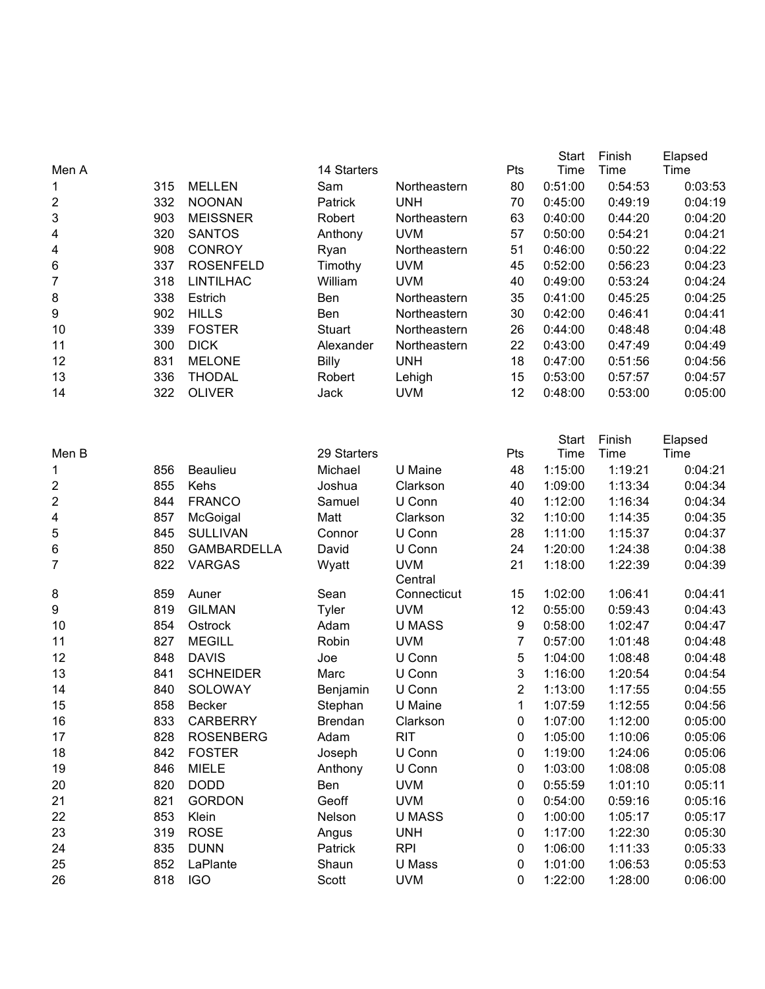|                         |     |                    |                |               |                | <b>Start</b>         | Finish         | Elapsed         |
|-------------------------|-----|--------------------|----------------|---------------|----------------|----------------------|----------------|-----------------|
| Men A                   |     |                    | 14 Starters    |               | Pts            | Time                 | Time           | Time            |
| 1                       | 315 | <b>MELLEN</b>      | Sam            | Northeastern  | 80             | 0:51:00              | 0:54:53        | 0:03:53         |
| 2                       | 332 | <b>NOONAN</b>      | Patrick        | <b>UNH</b>    | 70             | 0:45:00              | 0:49:19        | 0:04:19         |
| 3                       | 903 | <b>MEISSNER</b>    | Robert         | Northeastern  | 63             | 0:40:00              | 0:44:20        | 0:04:20         |
| 4                       | 320 | <b>SANTOS</b>      | Anthony        | <b>UVM</b>    | 57             | 0:50:00              | 0:54:21        | 0:04:21         |
| 4                       | 908 | <b>CONROY</b>      | Ryan           | Northeastern  | 51             | 0:46:00              | 0:50:22        | 0:04:22         |
| 6                       | 337 | <b>ROSENFELD</b>   | Timothy        | <b>UVM</b>    | 45             | 0:52:00              | 0:56:23        | 0:04:23         |
| $\overline{7}$          | 318 | <b>LINTILHAC</b>   | William        | <b>UVM</b>    | 40             | 0:49:00              | 0:53:24        | 0:04:24         |
| 8                       | 338 | Estrich            | Ben            | Northeastern  | 35             | 0:41:00              | 0:45:25        | 0:04:25         |
| 9                       | 902 | <b>HILLS</b>       | Ben            | Northeastern  | 30             | 0:42:00              | 0:46:41        | 0:04:41         |
| 10                      | 339 | <b>FOSTER</b>      | <b>Stuart</b>  | Northeastern  | 26             | 0:44:00              | 0:48:48        | 0:04:48         |
| 11                      | 300 | <b>DICK</b>        | Alexander      | Northeastern  | 22             | 0:43:00              | 0:47:49        | 0:04:49         |
| 12                      | 831 | <b>MELONE</b>      | <b>Billy</b>   | <b>UNH</b>    | 18             | 0:47:00              | 0:51:56        | 0:04:56         |
| 13                      | 336 | <b>THODAL</b>      | Robert         | Lehigh        | 15             | 0:53:00              | 0:57:57        | 0:04:57         |
| 14                      | 322 | <b>OLIVER</b>      | Jack           | <b>UVM</b>    | 12             | 0:48:00              | 0:53:00        | 0:05:00         |
|                         |     |                    |                |               |                |                      |                |                 |
| Men B                   |     |                    | 29 Starters    |               | Pts            | <b>Start</b><br>Time | Finish<br>Time | Elapsed<br>Time |
| 1                       | 856 | <b>Beaulieu</b>    | Michael        | U Maine       | 48             | 1:15:00              | 1:19:21        | 0:04:21         |
| 2                       | 855 | Kehs               | Joshua         | Clarkson      | 40             | 1:09:00              | 1:13:34        | 0:04:34         |
| $\overline{\mathbf{c}}$ | 844 | <b>FRANCO</b>      | Samuel         | U Conn        | 40             | 1:12:00              | 1:16:34        | 0:04:34         |
| 4                       | 857 | McGoigal           | Matt           | Clarkson      | 32             | 1:10:00              | 1:14:35        | 0:04:35         |
| 5                       | 845 | <b>SULLIVAN</b>    | Connor         | U Conn        | 28             | 1:11:00              | 1:15:37        | 0:04:37         |
| 6                       | 850 | <b>GAMBARDELLA</b> | David          | U Conn        | 24             | 1:20:00              | 1:24:38        | 0:04:38         |
| $\overline{7}$          | 822 | <b>VARGAS</b>      |                | <b>UVM</b>    | 21             | 1:18:00              | 1:22:39        | 0:04:39         |
|                         |     |                    | Wyatt          | Central       |                |                      |                |                 |
| 8                       | 859 | Auner              | Sean           | Connecticut   | 15             | 1:02:00              | 1:06:41        | 0:04:41         |
| 9                       | 819 | <b>GILMAN</b>      | <b>Tyler</b>   | <b>UVM</b>    | 12             | 0:55:00              | 0:59:43        | 0:04:43         |
| 10                      | 854 | Ostrock            | Adam           | <b>U MASS</b> | 9              | 0:58:00              | 1:02:47        | 0:04:47         |
| 11                      | 827 | <b>MEGILL</b>      | Robin          | <b>UVM</b>    | 7              | 0:57:00              | 1:01:48        | 0:04:48         |
| 12                      | 848 | <b>DAVIS</b>       | Joe            | U Conn        | 5              | 1:04:00              | 1:08:48        | 0:04:48         |
| 13                      | 841 | <b>SCHNEIDER</b>   | Marc           | U Conn        | 3              | 1:16:00              | 1:20:54        | 0:04:54         |
| 14                      | 840 | SOLOWAY            | Benjamin       | U Conn        | $\overline{2}$ | 1:13:00              | 1:17:55        | 0:04:55         |
| 15                      | 858 | Becker             | Stephan        | U Maine       | 1              | 1:07:59              | 1:12:55        | 0:04:56         |
| 16                      | 833 | <b>CARBERRY</b>    | <b>Brendan</b> | Clarkson      | 0              | 1:07:00              | 1:12:00        | 0:05:00         |
| 17                      | 828 | <b>ROSENBERG</b>   | Adam           | <b>RIT</b>    | 0              | 1:05:00              | 1:10:06        | 0:05:06         |
| 18                      | 842 | <b>FOSTER</b>      | Joseph         | U Conn        | 0              | 1:19:00              | 1:24:06        | 0:05:06         |
| 19                      | 846 | <b>MIELE</b>       | Anthony        | U Conn        | 0              | 1:03:00              | 1:08:08        | 0:05:08         |
| 20                      | 820 | <b>DODD</b>        | Ben            | <b>UVM</b>    | 0              | 0:55:59              | 1:01:10        | 0:05:11         |
| 21                      | 821 | <b>GORDON</b>      | Geoff          | <b>UVM</b>    | 0              | 0:54:00              | 0:59:16        | 0:05:16         |
| 22                      | 853 | Klein              | Nelson         | <b>U MASS</b> | $\pmb{0}$      | 1:00:00              | 1:05:17        | 0:05:17         |
| 23                      | 319 | <b>ROSE</b>        | Angus          | <b>UNH</b>    | $\pmb{0}$      | 1:17:00              | 1:22:30        | 0:05:30         |
| 24                      | 835 | <b>DUNN</b>        | Patrick        | <b>RPI</b>    | $\pmb{0}$      | 1:06:00              | 1:11:33        | 0:05:33         |
| 25                      | 852 | LaPlante           | Shaun          | U Mass        | $\pmb{0}$      | 1:01:00              | 1:06:53        | 0:05:53         |
| 26                      | 818 | <b>IGO</b>         | Scott          | <b>UVM</b>    | 0              | 1:22:00              | 1:28:00        | 0:06:00         |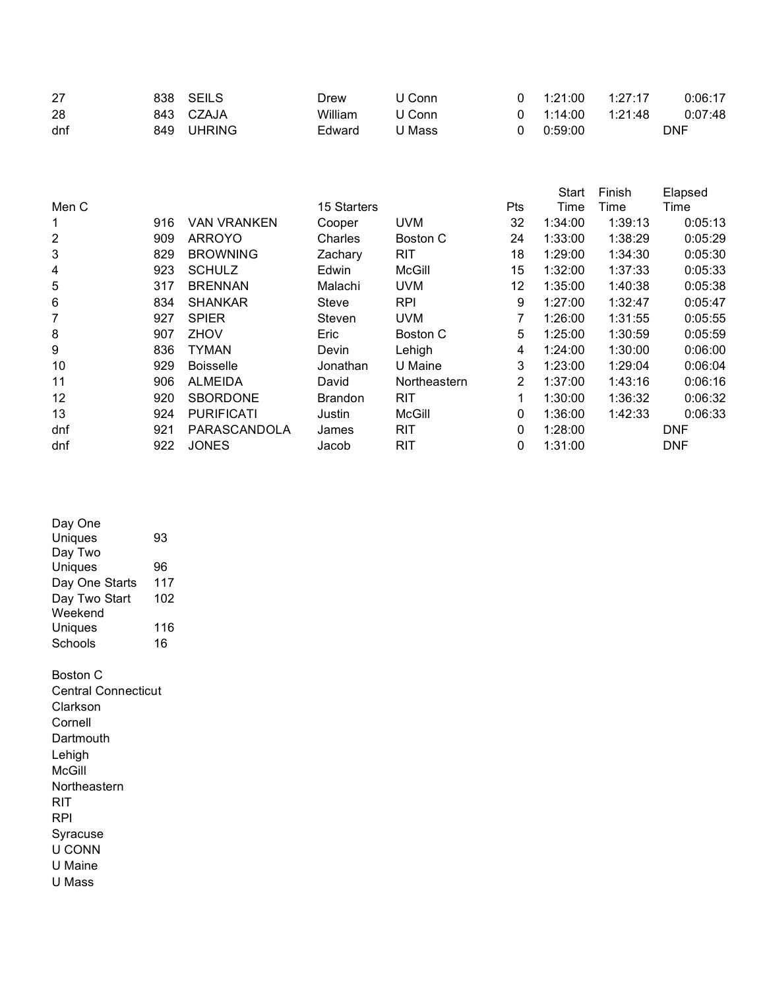| 27  |     | 838 SEILS | Drew    | U Conn | $0 \quad 1:21:00$ | 1:27:17 | 0:06:17 |
|-----|-----|-----------|---------|--------|-------------------|---------|---------|
| 28  |     | 843 CZAJA | William | U Conn | $0 \quad 1:14:00$ | 1.21.48 | 0:07:48 |
| dnf | 849 | UHRING    | Edward  | U Mass | 0:59:00           |         | DNF     |

|       |     |                    |                |               |                | <b>Start</b> | Finish  | Elapsed    |
|-------|-----|--------------------|----------------|---------------|----------------|--------------|---------|------------|
| Men C |     |                    | 15 Starters    |               | Pts            | Time         | Time    | Time       |
| 1     | 916 | <b>VAN VRANKEN</b> | Cooper         | <b>UVM</b>    | 32             | 1:34:00      | 1:39:13 | 0:05:13    |
| 2     | 909 | <b>ARROYO</b>      | Charles        | Boston C      | 24             | 1:33:00      | 1:38:29 | 0:05:29    |
| 3     | 829 | <b>BROWNING</b>    | Zachary        | <b>RIT</b>    | 18             | 1:29:00      | 1:34:30 | 0:05:30    |
| 4     | 923 | <b>SCHULZ</b>      | Edwin          | <b>McGill</b> | 15             | 1:32:00      | 1:37:33 | 0:05:33    |
| 5     | 317 | <b>BRENNAN</b>     | Malachi        | <b>UVM</b>    | 12             | 1:35:00      | 1:40:38 | 0:05:38    |
| 6     | 834 | <b>SHANKAR</b>     | <b>Steve</b>   | <b>RPI</b>    | 9              | 1:27:00      | 1:32:47 | 0:05:47    |
| 7     | 927 | <b>SPIER</b>       | Steven         | <b>UVM</b>    | 7              | 1:26:00      | 1:31:55 | 0:05:55    |
| 8     | 907 | ZHOV               | Eric           | Boston C      | 5              | 1:25:00      | 1:30:59 | 0:05:59    |
| 9     | 836 | <b>TYMAN</b>       | Devin          | Lehigh        | 4              | 1:24:00      | 1:30:00 | 0:06:00    |
| 10    | 929 | <b>Boisselle</b>   | Jonathan       | U Maine       | 3              | 1:23:00      | 1:29:04 | 0:06:04    |
| 11    | 906 | <b>ALMEIDA</b>     | David          | Northeastern  | $\overline{2}$ | 1:37:00      | 1:43:16 | 0:06:16    |
| 12    | 920 | <b>SBORDONE</b>    | <b>Brandon</b> | <b>RIT</b>    | 1              | 1:30:00      | 1:36:32 | 0:06:32    |
| 13    | 924 | <b>PURIFICATI</b>  | Justin         | McGill        | 0              | 1:36:00      | 1:42:33 | 0:06:33    |
| dnf   | 921 | PARASCANDOLA       | James          | <b>RIT</b>    | 0              | 1:28:00      |         | <b>DNF</b> |
| dnf   | 922 | <b>JONES</b>       | Jacob          | <b>RIT</b>    | 0              | 1:31:00      |         | <b>DNF</b> |

| Day One                    |     |
|----------------------------|-----|
| Uniques                    | 93  |
| Day Two                    |     |
| Uniques                    | 96  |
| Day One Starts             | 117 |
| Day Two Start              | 102 |
| Weekend                    |     |
| Uniques                    | 116 |
| Schools                    | 16  |
| Boston C                   |     |
| <b>Central Connecticut</b> |     |
| Clarkson                   |     |
| Cornell                    |     |
| Dartmouth                  |     |
| Lehigh                     |     |
| McGill                     |     |
| Northeastern               |     |
|                            |     |
| RIT                        |     |
| RPI                        |     |
| Syracuse                   |     |
| U CONN                     |     |
| U Maine                    |     |
| U Mass                     |     |
|                            |     |